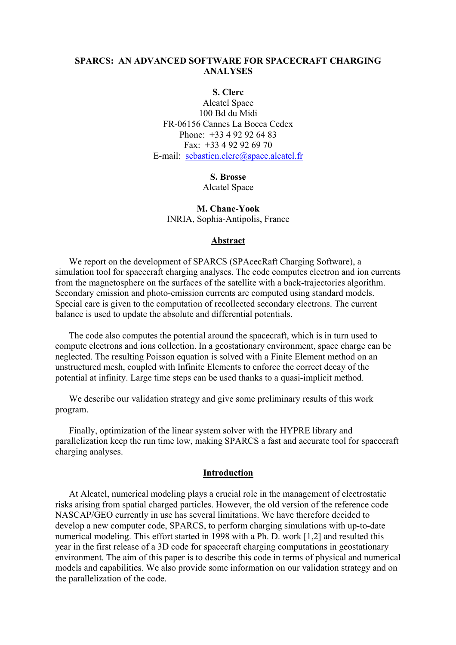# **SPARCS: AN ADVANCED SOFTWARE FOR SPACECRAFT CHARGING ANALYSES**

**S. Clerc** 

Alcatel Space 100 Bd du Midi FR-06156 Cannes La Bocca Cedex Phone: +33 4 92 92 64 83 Fax: +33 4 92 92 69 70 E-mail: [sebastien.clerc@space.alcatel.fr](mailto:sylvie.brosse@space.alcatel.fr)

## **S. Brosse**

Alcatel Space

**M. Chane-Yook**  INRIA, Sophia-Antipolis, France

#### **Abstract**

We report on the development of SPARCS (SPAcecRaft Charging Software), a simulation tool for spacecraft charging analyses. The code computes electron and ion currents from the magnetosphere on the surfaces of the satellite with a back-trajectories algorithm. Secondary emission and photo-emission currents are computed using standard models. Special care is given to the computation of recollected secondary electrons. The current balance is used to update the absolute and differential potentials.

The code also computes the potential around the spacecraft, which is in turn used to compute electrons and ions collection. In a geostationary environment, space charge can be neglected. The resulting Poisson equation is solved with a Finite Element method on an unstructured mesh, coupled with Infinite Elements to enforce the correct decay of the potential at infinity. Large time steps can be used thanks to a quasi-implicit method.

We describe our validation strategy and give some preliminary results of this work program.

Finally, optimization of the linear system solver with the HYPRE library and parallelization keep the run time low, making SPARCS a fast and accurate tool for spacecraft charging analyses.

#### **Introduction**

At Alcatel, numerical modeling plays a crucial role in the management of electrostatic risks arising from spatial charged particles. However, the old version of the reference code NASCAP/GEO currently in use has several limitations. We have therefore decided to develop a new computer code, SPARCS, to perform charging simulations with up-to-date numerical modeling. This effort started in 1998 with a Ph. D. work [1,2] and resulted this year in the first release of a 3D code for spacecraft charging computations in geostationary environment. The aim of this paper is to describe this code in terms of physical and numerical models and capabilities. We also provide some information on our validation strategy and on the parallelization of the code.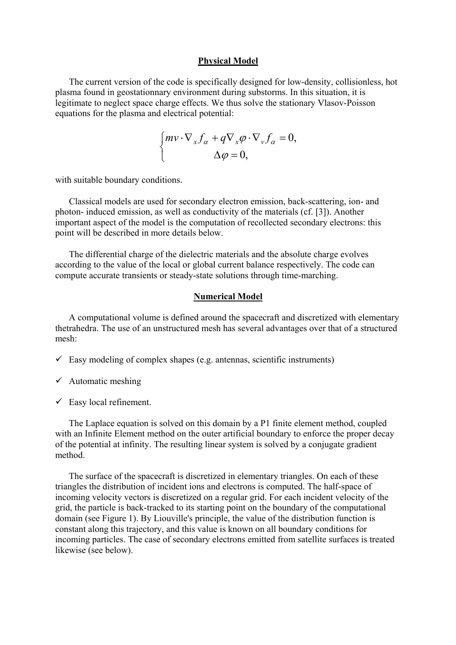#### **Physical Model**

The current version of the code is specifically designed for low-density, collisionless, hot plasma found in geostationnary environment during substorms. In this situation, it is legitimate to neglect space charge effects. We thus solve the stationary Vlasov-Poisson equations for the plasma and electrical potential:

$$
\begin{cases} m v \cdot \nabla_x f_\alpha + q \nabla_x \varphi \cdot \nabla_v f_\alpha = 0, \\ \Delta \varphi = 0, \end{cases}
$$

with suitable boundary conditions.

Classical models are used for secondary electron emission, back-scattering, ion- and photon- induced emission, as well as conductivity of the materials (cf. [3]). Another important aspect of the model is the computation of recollected secondary electrons: this point will be described in more details below.

The differential charge of the dielectric materials and the absolute charge evolves according to the value of the local or global current balance respectively. The code can compute accurate transients or steady-state solutions through time-marching.

#### **Numerical Model**

A computational volume is defined around the spacecraft and discretized with elementary thetrahedra. The use of an unstructured mesh has several advantages over that of a structured mesh:

 $\checkmark$  Easy modeling of complex shapes (e.g. antennas, scientific instruments)

 $\checkmark$  Easy local refinement.

The Laplace equation is solved on this domain by a P1 finite element method, coupled with an Infinite Element method on the outer artificial boundary to enforce the proper decay of the potential at infinity. The resulting linear system is solved by a conjugate gradient method.

The surface of the spacecraft is discretized in elementary triangles. On each of these triangles the distribution of incident ions and electrons is computed. The half-space of incoming velocity vectors is discretized on a regular grid. For each incident velocity of the grid, the particle is back-tracked to its starting point on the boundary of the computational domain (see [Figure 1\)](#page-2-0). By Liouville's principle, the value of the distribution function is constant along this trajectory, and this value is known on all boundary conditions for incoming particles. The case of secondary electrons emitted from satellite surfaces is treated likewise (see below).

 $\checkmark$  Automatic meshing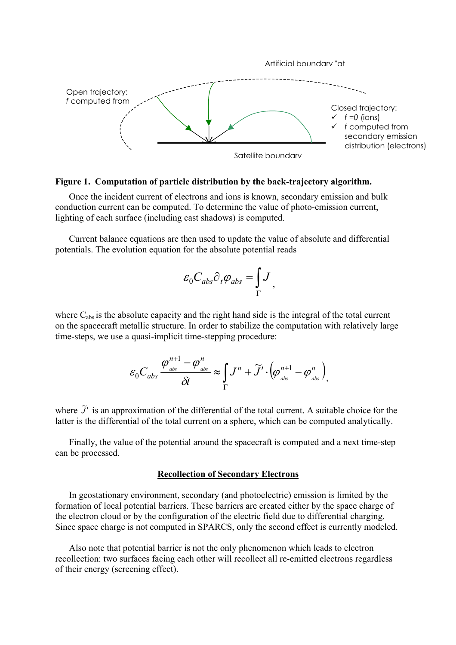

### <span id="page-2-0"></span>**Figure 1. Computation of particle distribution by the back-trajectory algorithm.**

Once the incident current of electrons and ions is known, secondary emission and bulk conduction current can be computed. To determine the value of photo-emission current, lighting of each surface (including cast shadows) is computed.

Current balance equations are then used to update the value of absolute and differential potentials. The evolution equation for the absolute potential reads

$$
\varepsilon_0 C_{abs} \partial_t \varphi_{abs} = \int_{\Gamma} J
$$

where C<sub>abs</sub> is the absolute capacity and the right hand side is the integral of the total current on the spacecraft metallic structure. In order to stabilize the computation with relatively large time-steps, we use a quasi-implicit time-stepping procedure:

$$
\varepsilon_0 C_{abs} \frac{\varphi_{\scriptscriptstyle abs}^{n+1} - \varphi_{\scriptscriptstyle abs}^n}{\delta t} \approx \int_{\Gamma} J^n + \widetilde{J}' \cdot \left(\varphi_{\scriptscriptstyle abs}^{n+1} - \varphi_{\scriptscriptstyle abs}^n\right),
$$

where  $\tilde{J}'$  is an approximation of the differential of the total current. A suitable choice for the latter is the differential of the total current on a sphere, which can be computed analytically.

Finally, the value of the potential around the spacecraft is computed and a next time-step can be processed.

## **Recollection of Secondary Electrons**

In geostationary environment, secondary (and photoelectric) emission is limited by the formation of local potential barriers. These barriers are created either by the space charge of the electron cloud or by the configuration of the electric field due to differential charging. Since space charge is not computed in SPARCS, only the second effect is currently modeled.

Also note that potential barrier is not the only phenomenon which leads to electron recollection: two surfaces facing each other will recollect all re-emitted electrons regardless of their energy (screening effect).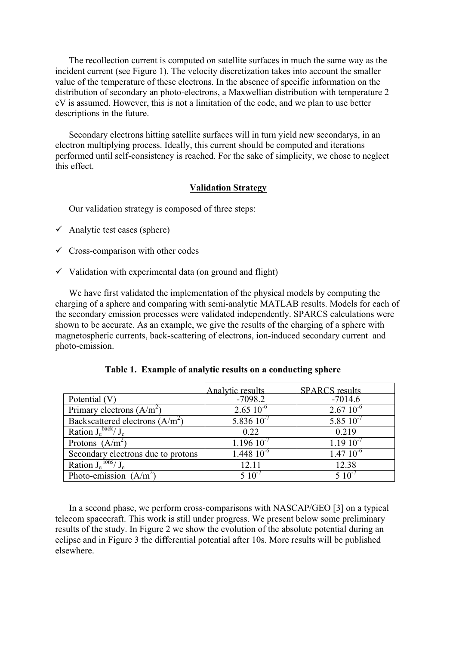The recollection current is computed on satellite surfaces in much the same way as the incident current (see [Figure 1\)](#page-2-0). The velocity discretization takes into account the smaller value of the temperature of these electrons. In the absence of specific information on the distribution of secondary an photo-electrons, a Maxwellian distribution with temperature 2 eV is assumed. However, this is not a limitation of the code, and we plan to use better descriptions in the future.

Secondary electrons hitting satellite surfaces will in turn yield new secondarys, in an electron multiplying process. Ideally, this current should be computed and iterations performed until self-consistency is reached. For the sake of simplicity, we chose to neglect this effect.

## **Validation Strategy**

Our validation strategy is composed of three steps:

- $\checkmark$  Analytic test cases (sphere)
- $\checkmark$  Cross-comparison with other codes
- $\checkmark$  Validation with experimental data (on ground and flight)

We have first validated the implementation of the physical models by computing the charging of a sphere and comparing with semi-analytic MATLAB results. Models for each of the secondary emission processes were validated independently. SPARCS calculations were shown to be accurate. As an example, we give the results of the charging of a sphere with magnetospheric currents, back-scattering of electrons, ion-induced secondary current and photo-emission.

|                                    | Analytic results      | <b>SPARCS</b> results |
|------------------------------------|-----------------------|-----------------------|
| Potential (V)                      | $-7098.2$             | $-7014.6$             |
| Primary electrons $(A/m^2)$        | $2.65 \times 10^{-6}$ | $2.67~10^{-6}$        |
| Backscattered electrons $(A/m^2)$  | 5.836 $10^{-7}$       | $5.85\ 10^{-7}$       |
| Ration $\overline{J_e^{back}/J_e}$ | 0.22                  | 0.219                 |
| Protons $(A/m^2)$                  | $1.196\ 10^{-7}$      | $1.1910^{-7}$         |
| Secondary electrons due to protons | $1.448\ 10^{-6}$      | $1.47~10^{-6}$        |
| Ration $J_e^{100S}/J_e$            | 12.11                 | 12.38                 |
| Photo-emission $(A/m^2)$           | $5.10^{-1}$           | ና 1በ <sup>-</sup>     |

**Table 1. Example of analytic results on a conducting sphere** 

In a second phase, we perform cross-comparisons with NASCAP/GEO [3] on a typical telecom spacecraft. This work is still under progress. We present below some preliminary results of the study. In Figure 2 we show the evolution of the absolute potential during an eclipse and in Figure 3 the differential potential after 10s. More results will be published elsewhere.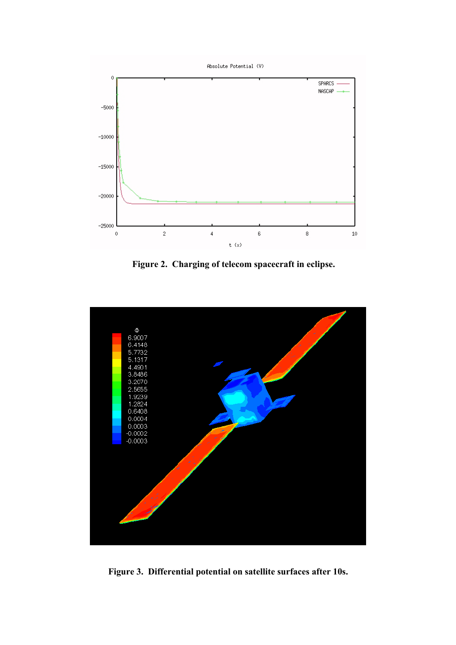

**Figure 2. Charging of telecom spacecraft in eclipse.** 



**Figure 3. Differential potential on satellite surfaces after 10s.**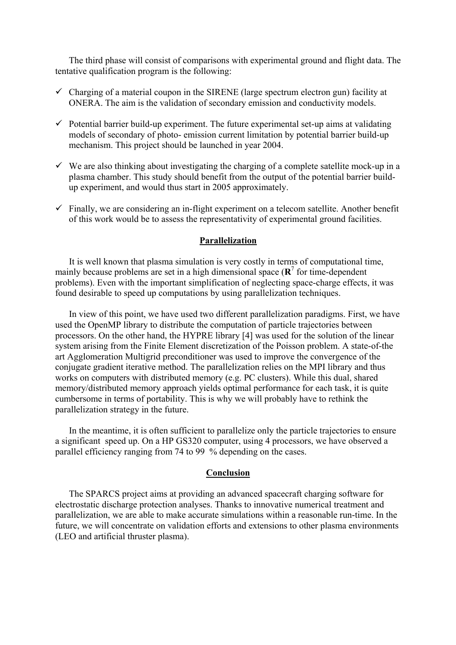The third phase will consist of comparisons with experimental ground and flight data. The tentative qualification program is the following:

- $\checkmark$  Charging of a material coupon in the SIRENE (large spectrum electron gun) facility at ONERA. The aim is the validation of secondary emission and conductivity models.
- $\checkmark$  Potential barrier build-up experiment. The future experimental set-up aims at validating models of secondary of photo- emission current limitation by potential barrier build-up mechanism. This project should be launched in year 2004.
- $\checkmark$  We are also thinking about investigating the charging of a complete satellite mock-up in a plasma chamber. This study should benefit from the output of the potential barrier buildup experiment, and would thus start in 2005 approximately.
- $\checkmark$  Finally, we are considering an in-flight experiment on a telecom satellite. Another benefit of this work would be to assess the representativity of experimental ground facilities.

## **Parallelization**

It is well known that plasma simulation is very costly in terms of computational time, mainly because problems are set in a high dimensional space  $(\mathbb{R}^7)$  for time-dependent problems). Even with the important simplification of neglecting space-charge effects, it was found desirable to speed up computations by using parallelization techniques.

In view of this point, we have used two different parallelization paradigms. First, we have used the OpenMP library to distribute the computation of particle trajectories between processors. On the other hand, the HYPRE library [4] was used for the solution of the linear system arising from the Finite Element discretization of the Poisson problem. A state-of-the art Agglomeration Multigrid preconditioner was used to improve the convergence of the conjugate gradient iterative method. The parallelization relies on the MPI library and thus works on computers with distributed memory (e.g. PC clusters). While this dual, shared memory/distributed memory approach yields optimal performance for each task, it is quite cumbersome in terms of portability. This is why we will probably have to rethink the parallelization strategy in the future.

In the meantime, it is often sufficient to parallelize only the particle trajectories to ensure a significant speed up. On a HP GS320 computer, using 4 processors, we have observed a parallel efficiency ranging from 74 to 99 % depending on the cases.

## **Conclusion**

The SPARCS project aims at providing an advanced spacecraft charging software for electrostatic discharge protection analyses. Thanks to innovative numerical treatment and parallelization, we are able to make accurate simulations within a reasonable run-time. In the future, we will concentrate on validation efforts and extensions to other plasma environments (LEO and artificial thruster plasma).